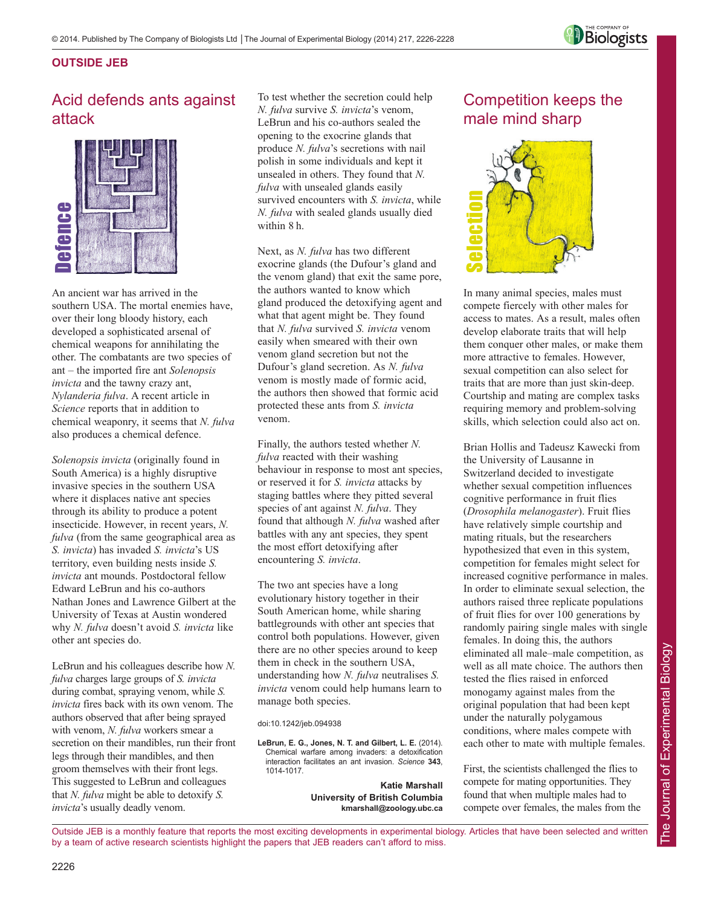

#### **OUTSIDE JEB**

## Acid defends ants against attack



An ancient war has arrived in the southern USA. The mortal enemies have, over their long bloody history, each developed a sophisticated arsenal of chemical weapons for annihilating the other. The combatants are two species of ant – the imported fire ant *Solenopsis invicta* and the tawny crazy ant, *Nylanderia fulva*. A recent article in *Science* reports that in addition to chemical weaponry, it seems that *N. fulva* also produces a chemical defence.

*Solenopsis invicta* (originally found in South America) is a highly disruptive invasive species in the southern USA where it displaces native ant species through its ability to produce a potent insecticide. However, in recent years, *N. fulva* (from the same geographical area as *S. invicta*) has invaded *S. invicta*'s US territory, even building nests inside *S. invicta* ant mounds. Postdoctoral fellow Edward LeBrun and his co-authors Nathan Jones and Lawrence Gilbert at the University of Texas at Austin wondered why *N. fulva* doesn't avoid *S. invicta* like other ant species do. **is a more than the model with the set and the model with the more their long over their long bloody history, developed a sophisticated are chemical weapons for annihila other. The combatants are two tant solution. The com** 

LeBrun and his colleagues describe how *N. fulva* charges large groups of *S. invicta* during combat, spraying venom, while *S. invicta* fires back with its own venom. The authors observed that after being sprayed with venom, *N. fulva* workers smear a secretion on their mandibles, run their front legs through their mandibles, and then groom themselves with their front legs. This suggested to LeBrun and colleagues that *N. fulva* might be able to detoxify *S.*

To test whether the secretion could help *N. fulva* survive *S. invicta*'s venom, LeBrun and his co-authors sealed the opening to the exocrine glands that produce *N. fulva*'s secretions with nail polish in some individuals and kept it unsealed in others. They found that *N. fulva* with unsealed glands easily survived encounters with *S. invicta*, while *N. fulva* with sealed glands usually died within 8 h.

Next, as *N. fulva* has two different exocrine glands (the Dufour's gland and the venom gland) that exit the same pore, the authors wanted to know which gland produced the detoxifying agent and what that agent might be. They found that *N. fulva* survived *S. invicta* venom easily when smeared with their own venom gland secretion but not the Dufour's gland secretion. As *N. fulva* venom is mostly made of formic acid, the authors then showed that formic acid protected these ants from *S. invicta* venom.

Finally, the authors tested whether *N. fulva* reacted with their washing behaviour in response to most ant species, or reserved it for *S. invicta* attacks by staging battles where they pitted several species of ant against *N. fulva*. They found that although *N. fulva* washed after battles with any ant species, they spent the most effort detoxifying after encountering *S. invicta*.

The two ant species have a long evolutionary history together in their South American home, while sharing battlegrounds with other ant species that control both populations. However, given there are no other species around to keep them in check in the southern USA, understanding how *N. fulva* neutralises *S. invicta* venom could help humans learn to manage both species.

doi:10.1242/jeb.094938

**LeBrun, E. G., Jones, N. T. and Gilbert, L. E.** (2014). Chemical warfare among invaders: a detoxification interaction facilitates an ant invasion. *Science* **343**, 1014-1017.

> **Katie Marshall University of British Columbia kmarshall@zoology.ubc.ca**

## Competition keeps the male mind sharp



In many animal species, males must compete fiercely with other males for access to mates. As a result, males often develop elaborate traits that will help them conquer other males, or make them more attractive to females. However, sexual competition can also select for traits that are more than just skin-deep. Courtship and mating are complex tasks requiring memory and problem-solving skills, which selection could also act on.

Brian Hollis and Tadeusz Kawecki from the University of Lausanne in Switzerland decided to investigate whether sexual competition influences cognitive performance in fruit flies (*Drosophila melanogaster*). Fruit flies have relatively simple courtship and mating rituals, but the researchers hypothesized that even in this system, competition for females might select for increased cognitive performance in males. In order to eliminate sexual selection, the authors raised three replicate populations of fruit flies for over 100 generations by randomly pairing single males with single females. In doing this, the authors eliminated all male–male competition, as well as all mate choice. The authors then tested the flies raised in enforced monogamy against males from the original population that had been kept under the naturally polygamous conditions, where males compete with each other to mate with multiple females. **Computer**<br>
In many animal species, males must<br>
compete fiercely with other males for<br>
develop elaborate trains that will help<br>
develop elaborate trains that will help<br>
them conquer other males, or make them<br>
more attracti

First, the scientists challenged the flies to compete for mating opportunities. They found that when multiple males had to

The Journal of Experimental Biology

The Journal of Experimental Biology

Outside JEB is a monthly feature that reports the most exciting developments in experimental biology. Articles that have been selected and written by a team of active research scientists highlight the papers that JEB readers can't afford to miss.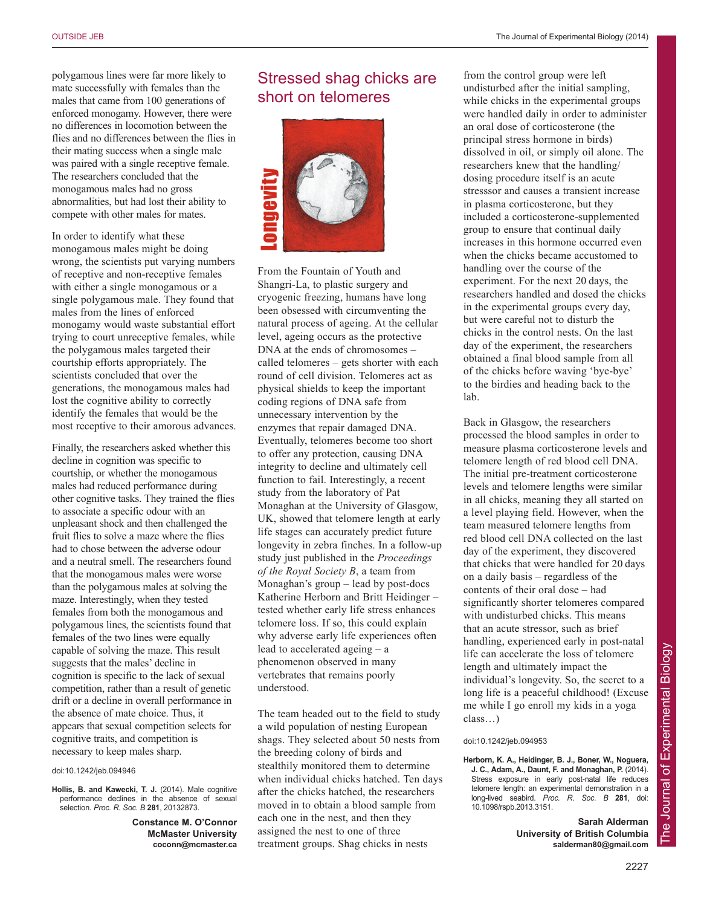polygamous lines were far more likely to mate successfully with females than the males that came from 100 generations of enforced monogamy. However, there were no differences in locomotion between the flies and no differences between the flies in their mating success when a single male was paired with a single receptive female. The researchers concluded that the monogamous males had no gross abnormalities, but had lost their ability to compete with other males for mates.

In order to identify what these monogamous males might be doing wrong, the scientists put varying numbers of receptive and non-receptive females with either a single monogamous or a single polygamous male. They found that males from the lines of enforced monogamy would waste substantial effort trying to court unreceptive females, while the polygamous males targeted their courtship efforts appropriately. The scientists concluded that over the generations, the monogamous males had lost the cognitive ability to correctly identify the females that would be the most receptive to their amorous advances.

Finally, the researchers asked whether this decline in cognition was specific to courtship, or whether the monogamous males had reduced performance during other cognitive tasks. They trained the flies to associate a specific odour with an unpleasant shock and then challenged the fruit flies to solve a maze where the flies had to chose between the adverse odour and a neutral smell. The researchers found that the monogamous males were worse than the polygamous males at solving the maze. Interestingly, when they tested females from both the monogamous and polygamous lines, the scientists found that females of the two lines were equally capable of solving the maze. This result suggests that the males' decline in cognition is specific to the lack of sexual competition, rather than a result of genetic drift or a decline in overall performance in the absence of mate choice. Thus, it appears that sexual competition selects for cognitive traits, and competition is necessary to keep males sharp.

#### doi:10.1242/jeb.094946

**Hollis, B. and Kawecki, T. J.** (2014). Male cognitive performance declines in the absence of sexual selection. *Proc. R. Soc. B* **281**, 20132873.

> **Constance M. O'Connor McMaster University coconn@mcmaster.ca**

### Stressed shag chicks are short on telomeres



From the Fountain of Youth and Shangri-La, to plastic surgery and cryogenic freezing, humans have long been obsessed with circumventing the natural process of ageing. At the cellular level, ageing occurs as the protective DNA at the ends of chromosomes – called telomeres – gets shorter with each round of cell division. Telomeres act as physical shields to keep the important coding regions of DNA safe from unnecessary intervention by the enzymes that repair damaged DNA. Eventually, telomeres become too short to offer any protection, causing DNA integrity to decline and ultimately cell function to fail. Interestingly, a recent study from the laboratory of Pat Monaghan at the University of Glasgow, UK, showed that telomere length at early life stages can accurately predict future longevity in zebra finches. In a follow-up study just published in the *Proceedings of the Royal Society B*, a team from Monaghan's group – lead by post-docs Katherine Herborn and Britt Heidinger – tested whether early life stress enhances telomere loss. If so, this could explain why adverse early life experiences often lead to accelerated ageing – a phenomenon observed in many vertebrates that remains poorly understood. From the Fountain of Youth and<br>Shangri-La, to plastic surgery and<br>cryogenic freezing, humans have long<br>been obsessed with circumventing the<br>heatural process of ageing. At the cellul-<br>level, ageing cocurs as the protective<br>

The team headed out to the field to study a wild population of nesting European shags. They selected about 50 nests from the breeding colony of birds and stealthily monitored them to determine when individual chicks hatched. Ten days after the chicks hatched, the researchers moved in to obtain a blood sample from each one in the nest, and then they assigned the nest to one of three

from the control group were left undisturbed after the initial sampling, while chicks in the experimental groups were handled daily in order to administer an oral dose of corticosterone (the principal stress hormone in birds) dissolved in oil, or simply oil alone. The researchers knew that the handling/ dosing procedure itself is an acute stresssor and causes a transient increase in plasma corticosterone, but they included a corticosterone-supplemented group to ensure that continual daily increases in this hormone occurred even when the chicks became accustomed to handling over the course of the experiment. For the next 20 days, the researchers handled and dosed the chicks in the experimental groups every day, but were careful not to disturb the chicks in the control nests. On the last day of the experiment, the researchers obtained a final blood sample from all of the chicks before waving 'bye-bye' to the birdies and heading back to the lab.

Back in Glasgow, the researchers processed the blood samples in order to measure plasma corticosterone levels and telomere length of red blood cell DNA. The initial pre-treatment corticosterone levels and telomere lengths were similar in all chicks, meaning they all started on a level playing field. However, when the team measured telomere lengths from red blood cell DNA collected on the last day of the experiment, they discovered that chicks that were handled for 20 days on a daily basis – regardless of the contents of their oral dose – had significantly shorter telomeres compared with undisturbed chicks. This means that an acute stressor, such as brief handling, experienced early in post-natal life can accelerate the loss of telomere length and ultimately impact the individual's longevity. So, the secret to a long life is a peaceful childhood! (Excuse me while I go enroll my kids in a yoga class…)

#### doi:10.1242/jeb.094953

**Herborn, K. A., Heidinger, B. J., Boner, W., Noguera, J. C., Adam, A., Daunt, F. and Monaghan, P.** (2014). Stress exposure in early post-natal life reduces telomere length: an experimental demonstration in a long-lived seabird. *Proc. R. Soc. B* **281**, doi: 10.1098/rspb.2013.3151.

> **Sarah Alderman University of British Columbia salderman80@gmail.com**